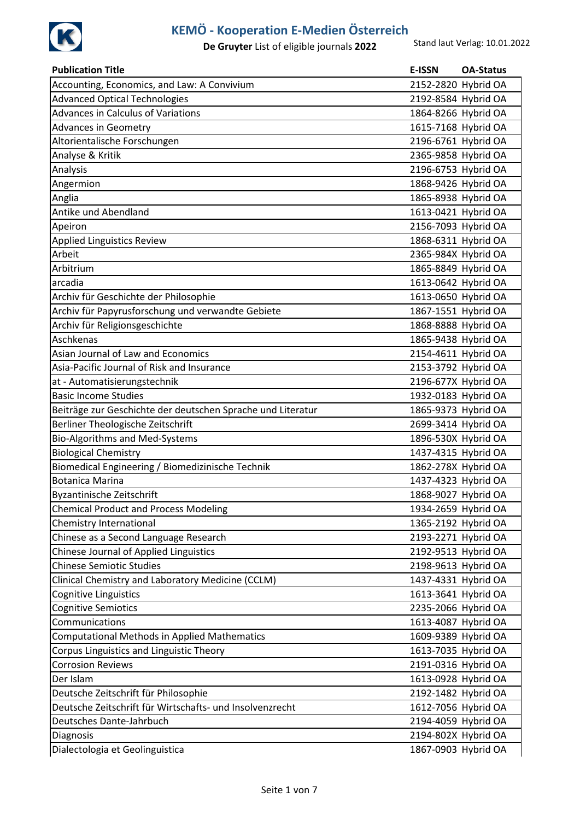

| <b>Publication Title</b>                                    | <b>E-ISSN</b>       | <b>OA-Status</b>    |
|-------------------------------------------------------------|---------------------|---------------------|
| Accounting, Economics, and Law: A Convivium                 |                     | 2152-2820 Hybrid OA |
| <b>Advanced Optical Technologies</b>                        |                     | 2192-8584 Hybrid OA |
| Advances in Calculus of Variations                          |                     | 1864-8266 Hybrid OA |
| <b>Advances in Geometry</b>                                 |                     | 1615-7168 Hybrid OA |
| Altorientalische Forschungen                                |                     | 2196-6761 Hybrid OA |
| Analyse & Kritik                                            |                     | 2365-9858 Hybrid OA |
| Analysis                                                    |                     | 2196-6753 Hybrid OA |
| Angermion                                                   |                     | 1868-9426 Hybrid OA |
| Anglia                                                      |                     | 1865-8938 Hybrid OA |
| Antike und Abendland                                        |                     | 1613-0421 Hybrid OA |
| Apeiron                                                     |                     | 2156-7093 Hybrid OA |
| Applied Linguistics Review                                  |                     | 1868-6311 Hybrid OA |
| Arbeit                                                      |                     | 2365-984X Hybrid OA |
| Arbitrium                                                   |                     | 1865-8849 Hybrid OA |
| arcadia                                                     |                     | 1613-0642 Hybrid OA |
| Archiv für Geschichte der Philosophie                       |                     | 1613-0650 Hybrid OA |
| Archiv für Papyrusforschung und verwandte Gebiete           |                     | 1867-1551 Hybrid OA |
| Archiv für Religionsgeschichte                              |                     | 1868-8888 Hybrid OA |
| Aschkenas                                                   |                     | 1865-9438 Hybrid OA |
| Asian Journal of Law and Economics                          |                     | 2154-4611 Hybrid OA |
| Asia-Pacific Journal of Risk and Insurance                  |                     | 2153-3792 Hybrid OA |
| at - Automatisierungstechnik                                |                     | 2196-677X Hybrid OA |
| <b>Basic Income Studies</b>                                 |                     | 1932-0183 Hybrid OA |
| Beiträge zur Geschichte der deutschen Sprache und Literatur |                     | 1865-9373 Hybrid OA |
| Berliner Theologische Zeitschrift                           |                     | 2699-3414 Hybrid OA |
| Bio-Algorithms and Med-Systems                              |                     | 1896-530X Hybrid OA |
| <b>Biological Chemistry</b>                                 |                     | 1437-4315 Hybrid OA |
| Biomedical Engineering / Biomedizinische Technik            |                     | 1862-278X Hybrid OA |
| <b>Botanica Marina</b>                                      |                     | 1437-4323 Hybrid OA |
| Byzantinische Zeitschrift                                   | 1868-9027 Hybrid OA |                     |
| <b>Chemical Product and Process Modeling</b>                |                     | 1934-2659 Hybrid OA |
| Chemistry International                                     |                     | 1365-2192 Hybrid OA |
| Chinese as a Second Language Research                       |                     | 2193-2271 Hybrid OA |
| Chinese Journal of Applied Linguistics                      |                     | 2192-9513 Hybrid OA |
| <b>Chinese Semiotic Studies</b>                             |                     | 2198-9613 Hybrid OA |
| Clinical Chemistry and Laboratory Medicine (CCLM)           |                     | 1437-4331 Hybrid OA |
| Cognitive Linguistics                                       |                     | 1613-3641 Hybrid OA |
| Cognitive Semiotics                                         |                     | 2235-2066 Hybrid OA |
| Communications                                              |                     | 1613-4087 Hybrid OA |
| <b>Computational Methods in Applied Mathematics</b>         |                     | 1609-9389 Hybrid OA |
| Corpus Linguistics and Linguistic Theory                    |                     | 1613-7035 Hybrid OA |
| <b>Corrosion Reviews</b>                                    |                     | 2191-0316 Hybrid OA |
| Der Islam                                                   |                     | 1613-0928 Hybrid OA |
| Deutsche Zeitschrift für Philosophie                        |                     | 2192-1482 Hybrid OA |
| Deutsche Zeitschrift für Wirtschafts- und Insolvenzrecht    |                     | 1612-7056 Hybrid OA |
| Deutsches Dante-Jahrbuch                                    |                     | 2194-4059 Hybrid OA |
| Diagnosis                                                   |                     | 2194-802X Hybrid OA |
| Dialectologia et Geolinguistica                             |                     | 1867-0903 Hybrid OA |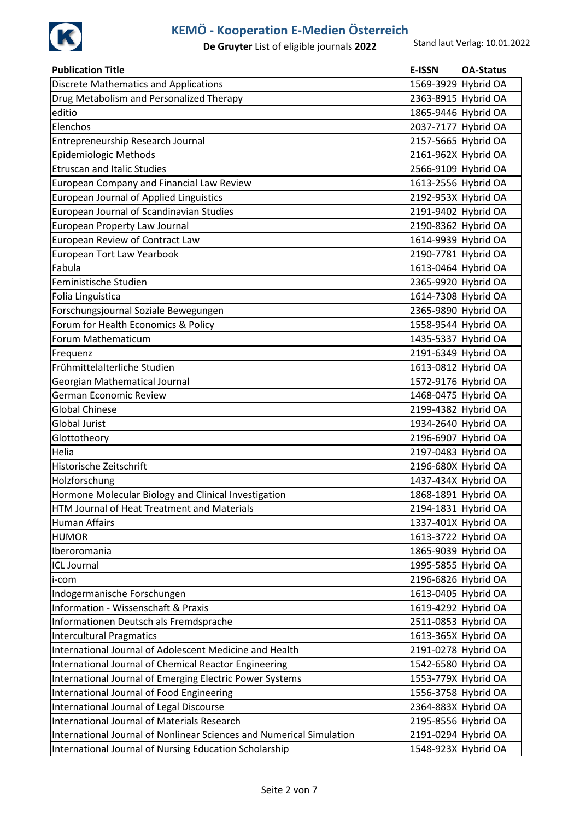

| <b>Publication Title</b>                                             | E-ISSN | <b>OA-Status</b>    |
|----------------------------------------------------------------------|--------|---------------------|
| <b>Discrete Mathematics and Applications</b>                         |        | 1569-3929 Hybrid OA |
| Drug Metabolism and Personalized Therapy                             |        | 2363-8915 Hybrid OA |
| editio                                                               |        | 1865-9446 Hybrid OA |
| Elenchos                                                             |        | 2037-7177 Hybrid OA |
| Entrepreneurship Research Journal                                    |        | 2157-5665 Hybrid OA |
| Epidemiologic Methods                                                |        | 2161-962X Hybrid OA |
| <b>Etruscan and Italic Studies</b>                                   |        | 2566-9109 Hybrid OA |
| European Company and Financial Law Review                            |        | 1613-2556 Hybrid OA |
| <b>European Journal of Applied Linguistics</b>                       |        | 2192-953X Hybrid OA |
| European Journal of Scandinavian Studies                             |        | 2191-9402 Hybrid OA |
| European Property Law Journal                                        |        | 2190-8362 Hybrid OA |
| European Review of Contract Law                                      |        | 1614-9939 Hybrid OA |
| European Tort Law Yearbook                                           |        | 2190-7781 Hybrid OA |
| Fabula                                                               |        | 1613-0464 Hybrid OA |
| Feministische Studien                                                |        | 2365-9920 Hybrid OA |
| Folia Linguistica                                                    |        | 1614-7308 Hybrid OA |
| Forschungsjournal Soziale Bewegungen                                 |        | 2365-9890 Hybrid OA |
| Forum for Health Economics & Policy                                  |        | 1558-9544 Hybrid OA |
| Forum Mathematicum                                                   |        | 1435-5337 Hybrid OA |
| Frequenz                                                             |        | 2191-6349 Hybrid OA |
| Frühmittelalterliche Studien                                         |        | 1613-0812 Hybrid OA |
| Georgian Mathematical Journal                                        |        | 1572-9176 Hybrid OA |
| German Economic Review                                               |        | 1468-0475 Hybrid OA |
| <b>Global Chinese</b>                                                |        | 2199-4382 Hybrid OA |
| Global Jurist                                                        |        | 1934-2640 Hybrid OA |
| Glottotheory                                                         |        | 2196-6907 Hybrid OA |
| Helia                                                                |        | 2197-0483 Hybrid OA |
| Historische Zeitschrift                                              |        | 2196-680X Hybrid OA |
| Holzforschung                                                        |        | 1437-434X Hybrid OA |
| Hormone Molecular Biology and Clinical Investigation                 |        | 1868-1891 Hybrid OA |
| HTM Journal of Heat Treatment and Materials                          |        | 2194-1831 Hybrid OA |
| <b>Human Affairs</b>                                                 |        | 1337-401X Hybrid OA |
| <b>HUMOR</b>                                                         |        | 1613-3722 Hybrid OA |
| Iberoromania                                                         |        | 1865-9039 Hybrid OA |
| <b>ICL Journal</b>                                                   |        | 1995-5855 Hybrid OA |
| i-com                                                                |        | 2196-6826 Hybrid OA |
| Indogermanische Forschungen                                          |        | 1613-0405 Hybrid OA |
| <b>Information - Wissenschaft &amp; Praxis</b>                       |        | 1619-4292 Hybrid OA |
| Informationen Deutsch als Fremdsprache                               |        | 2511-0853 Hybrid OA |
| <b>Intercultural Pragmatics</b>                                      |        | 1613-365X Hybrid OA |
| International Journal of Adolescent Medicine and Health              |        | 2191-0278 Hybrid OA |
| International Journal of Chemical Reactor Engineering                |        | 1542-6580 Hybrid OA |
| International Journal of Emerging Electric Power Systems             |        | 1553-779X Hybrid OA |
| International Journal of Food Engineering                            |        | 1556-3758 Hybrid OA |
| <b>International Journal of Legal Discourse</b>                      |        | 2364-883X Hybrid OA |
| <b>International Journal of Materials Research</b>                   |        | 2195-8556 Hybrid OA |
| International Journal of Nonlinear Sciences and Numerical Simulation |        | 2191-0294 Hybrid OA |
| International Journal of Nursing Education Scholarship               |        | 1548-923X Hybrid OA |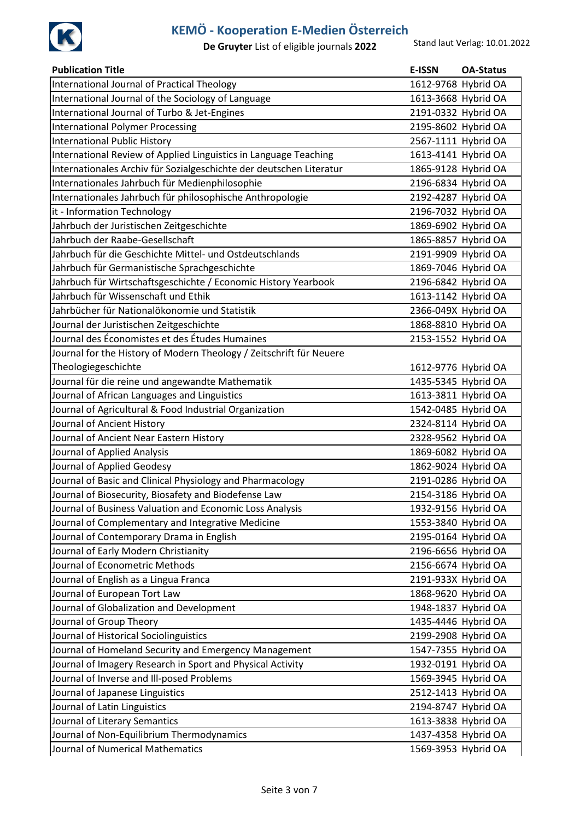

| <b>Publication Title</b>                                            | <b>E-ISSN</b>       | <b>OA-Status</b>    |
|---------------------------------------------------------------------|---------------------|---------------------|
| International Journal of Practical Theology                         |                     | 1612-9768 Hybrid OA |
| International Journal of the Sociology of Language                  |                     | 1613-3668 Hybrid OA |
| International Journal of Turbo & Jet-Engines                        | 2191-0332 Hybrid OA |                     |
| <b>International Polymer Processing</b>                             | 2195-8602 Hybrid OA |                     |
| <b>International Public History</b>                                 |                     | 2567-1111 Hybrid OA |
| International Review of Applied Linguistics in Language Teaching    |                     | 1613-4141 Hybrid OA |
| Internationales Archiv für Sozialgeschichte der deutschen Literatur |                     | 1865-9128 Hybrid OA |
| Internationales Jahrbuch für Medienphilosophie                      |                     | 2196-6834 Hybrid OA |
| Internationales Jahrbuch für philosophische Anthropologie           | 2192-4287 Hybrid OA |                     |
| it - Information Technology                                         |                     | 2196-7032 Hybrid OA |
| Jahrbuch der Juristischen Zeitgeschichte                            |                     | 1869-6902 Hybrid OA |
| Jahrbuch der Raabe-Gesellschaft                                     |                     | 1865-8857 Hybrid OA |
| Jahrbuch für die Geschichte Mittel- und Ostdeutschlands             |                     | 2191-9909 Hybrid OA |
| Jahrbuch für Germanistische Sprachgeschichte                        |                     | 1869-7046 Hybrid OA |
| Jahrbuch für Wirtschaftsgeschichte / Economic History Yearbook      |                     | 2196-6842 Hybrid OA |
| Jahrbuch für Wissenschaft und Ethik                                 |                     | 1613-1142 Hybrid OA |
| Jahrbücher für Nationalökonomie und Statistik                       |                     | 2366-049X Hybrid OA |
| Journal der Juristischen Zeitgeschichte                             |                     | 1868-8810 Hybrid OA |
| Journal des Économistes et des Études Humaines                      | 2153-1552 Hybrid OA |                     |
| Journal for the History of Modern Theology / Zeitschrift für Neuere |                     |                     |
| Theologiegeschichte                                                 |                     | 1612-9776 Hybrid OA |
| Journal für die reine und angewandte Mathematik                     |                     | 1435-5345 Hybrid OA |
| Journal of African Languages and Linguistics                        |                     | 1613-3811 Hybrid OA |
| Journal of Agricultural & Food Industrial Organization              |                     | 1542-0485 Hybrid OA |
| Journal of Ancient History                                          | 2324-8114 Hybrid OA |                     |
| Journal of Ancient Near Eastern History                             | 2328-9562 Hybrid OA |                     |
| Journal of Applied Analysis                                         |                     | 1869-6082 Hybrid OA |
| Journal of Applied Geodesy                                          |                     | 1862-9024 Hybrid OA |
| Journal of Basic and Clinical Physiology and Pharmacology           |                     | 2191-0286 Hybrid OA |
| Journal of Biosecurity, Biosafety and Biodefense Law                | 2154-3186 Hybrid OA |                     |
| Journal of Business Valuation and Economic Loss Analysis            |                     | 1932-9156 Hybrid OA |
| Journal of Complementary and Integrative Medicine                   |                     | 1553-3840 Hybrid OA |
| Journal of Contemporary Drama in English                            |                     | 2195-0164 Hybrid OA |
| Journal of Early Modern Christianity                                |                     | 2196-6656 Hybrid OA |
| Journal of Econometric Methods                                      |                     | 2156-6674 Hybrid OA |
| Journal of English as a Lingua Franca                               |                     | 2191-933X Hybrid OA |
| Journal of European Tort Law                                        |                     | 1868-9620 Hybrid OA |
| Journal of Globalization and Development                            |                     | 1948-1837 Hybrid OA |
| Journal of Group Theory                                             |                     | 1435-4446 Hybrid OA |
| Journal of Historical Sociolinguistics                              |                     | 2199-2908 Hybrid OA |
| Journal of Homeland Security and Emergency Management               |                     | 1547-7355 Hybrid OA |
| Journal of Imagery Research in Sport and Physical Activity          |                     | 1932-0191 Hybrid OA |
| Journal of Inverse and Ill-posed Problems                           |                     | 1569-3945 Hybrid OA |
| Journal of Japanese Linguistics                                     |                     | 2512-1413 Hybrid OA |
| Journal of Latin Linguistics                                        |                     | 2194-8747 Hybrid OA |
| Journal of Literary Semantics                                       |                     | 1613-3838 Hybrid OA |
| Journal of Non-Equilibrium Thermodynamics                           |                     | 1437-4358 Hybrid OA |
| Journal of Numerical Mathematics                                    |                     | 1569-3953 Hybrid OA |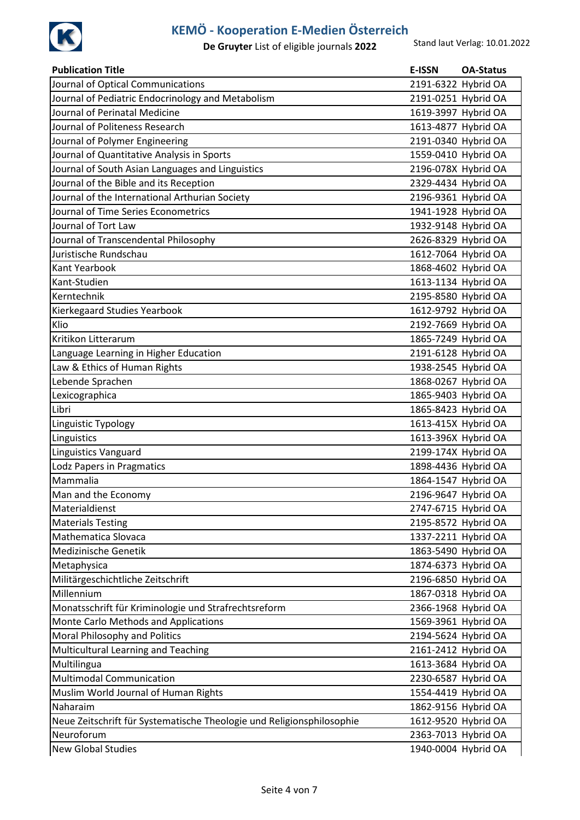

| <b>Publication Title</b>                                              | E-ISSN | <b>OA-Status</b>    |
|-----------------------------------------------------------------------|--------|---------------------|
| Journal of Optical Communications                                     |        | 2191-6322 Hybrid OA |
| Journal of Pediatric Endocrinology and Metabolism                     |        | 2191-0251 Hybrid OA |
| Journal of Perinatal Medicine                                         |        | 1619-3997 Hybrid OA |
| Journal of Politeness Research                                        |        | 1613-4877 Hybrid OA |
| Journal of Polymer Engineering                                        |        | 2191-0340 Hybrid OA |
| Journal of Quantitative Analysis in Sports                            |        | 1559-0410 Hybrid OA |
| Journal of South Asian Languages and Linguistics                      |        | 2196-078X Hybrid OA |
| Journal of the Bible and its Reception                                |        | 2329-4434 Hybrid OA |
| Journal of the International Arthurian Society                        |        | 2196-9361 Hybrid OA |
| Journal of Time Series Econometrics                                   |        | 1941-1928 Hybrid OA |
| Journal of Tort Law                                                   |        | 1932-9148 Hybrid OA |
| Journal of Transcendental Philosophy                                  |        | 2626-8329 Hybrid OA |
| Juristische Rundschau                                                 |        | 1612-7064 Hybrid OA |
| <b>Kant Yearbook</b>                                                  |        | 1868-4602 Hybrid OA |
| Kant-Studien                                                          |        | 1613-1134 Hybrid OA |
| Kerntechnik                                                           |        | 2195-8580 Hybrid OA |
| Kierkegaard Studies Yearbook                                          |        | 1612-9792 Hybrid OA |
| Klio                                                                  |        | 2192-7669 Hybrid OA |
| Kritikon Litterarum                                                   |        | 1865-7249 Hybrid OA |
| Language Learning in Higher Education                                 |        | 2191-6128 Hybrid OA |
| Law & Ethics of Human Rights                                          |        | 1938-2545 Hybrid OA |
| Lebende Sprachen                                                      |        | 1868-0267 Hybrid OA |
| Lexicographica                                                        |        | 1865-9403 Hybrid OA |
| Libri                                                                 |        | 1865-8423 Hybrid OA |
| Linguistic Typology                                                   |        | 1613-415X Hybrid OA |
| Linguistics                                                           |        | 1613-396X Hybrid OA |
| <b>Linguistics Vanguard</b>                                           |        | 2199-174X Hybrid OA |
| Lodz Papers in Pragmatics                                             |        | 1898-4436 Hybrid OA |
| Mammalia                                                              |        | 1864-1547 Hybrid OA |
| Man and the Economy                                                   |        | 2196-9647 Hybrid OA |
| Materialdienst                                                        |        | 2747-6715 Hybrid OA |
| <b>Materials Testing</b>                                              |        | 2195-8572 Hybrid OA |
| Mathematica Slovaca                                                   |        | 1337-2211 Hybrid OA |
| Medizinische Genetik                                                  |        | 1863-5490 Hybrid OA |
| Metaphysica                                                           |        | 1874-6373 Hybrid OA |
| Militärgeschichtliche Zeitschrift                                     |        | 2196-6850 Hybrid OA |
| Millennium                                                            |        | 1867-0318 Hybrid OA |
| Monatsschrift für Kriminologie und Strafrechtsreform                  |        | 2366-1968 Hybrid OA |
| Monte Carlo Methods and Applications                                  |        | 1569-3961 Hybrid OA |
| Moral Philosophy and Politics                                         |        | 2194-5624 Hybrid OA |
| Multicultural Learning and Teaching                                   |        | 2161-2412 Hybrid OA |
| Multilingua                                                           |        | 1613-3684 Hybrid OA |
| <b>Multimodal Communication</b>                                       |        | 2230-6587 Hybrid OA |
| Muslim World Journal of Human Rights                                  |        | 1554-4419 Hybrid OA |
| Naharaim                                                              |        | 1862-9156 Hybrid OA |
| Neue Zeitschrift für Systematische Theologie und Religionsphilosophie |        | 1612-9520 Hybrid OA |
| Neuroforum                                                            |        | 2363-7013 Hybrid OA |
| <b>New Global Studies</b>                                             |        | 1940-0004 Hybrid OA |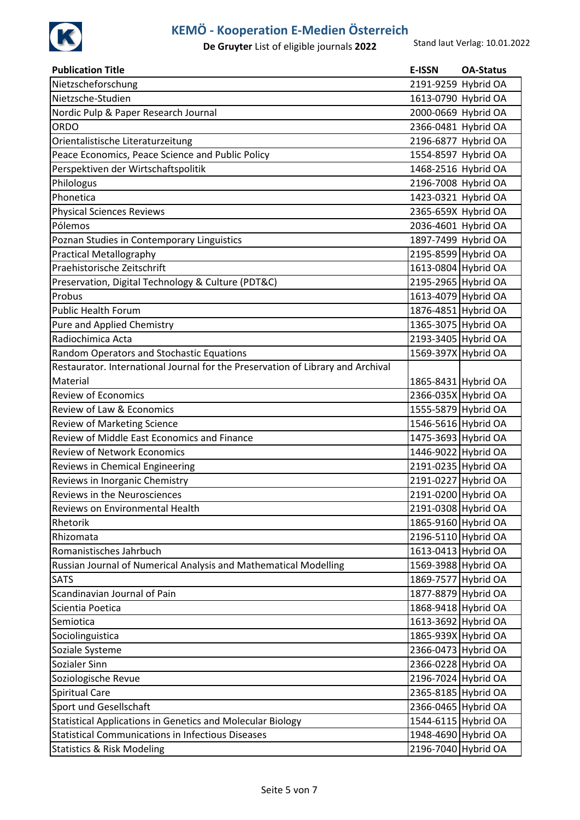

| Nietzscheforschung<br>2191-9259 Hybrid OA<br>Nietzsche-Studien<br>1613-0790 Hybrid OA<br>Nordic Pulp & Paper Research Journal<br>2000-0669 Hybrid OA<br>ORDO<br>2366-0481 Hybrid OA<br>Orientalistische Literaturzeitung<br>2196-6877 Hybrid OA<br>Peace Economics, Peace Science and Public Policy<br>1554-8597 Hybrid OA<br>Perspektiven der Wirtschaftspolitik<br>1468-2516 Hybrid OA<br>Philologus<br>2196-7008 Hybrid OA<br>Phonetica<br>1423-0321 Hybrid OA<br><b>Physical Sciences Reviews</b><br>2365-659X Hybrid OA<br>Pólemos<br>2036-4601 Hybrid OA<br>1897-7499 Hybrid OA<br>Poznan Studies in Contemporary Linguistics<br>2195-8599 Hybrid OA<br><b>Practical Metallography</b><br>Praehistorische Zeitschrift<br>1613-0804 Hybrid OA<br>2195-2965 Hybrid OA<br>Preservation, Digital Technology & Culture (PDT&C)<br>Probus<br>1613-4079 Hybrid OA<br>1876-4851 Hybrid OA<br><b>Public Health Forum</b><br>1365-3075 Hybrid OA<br>Pure and Applied Chemistry<br>2193-3405 Hybrid OA<br>Radiochimica Acta<br>1569-397X Hybrid OA<br>Random Operators and Stochastic Equations<br>Restaurator. International Journal for the Preservation of Library and Archival<br>Material<br>1865-8431 Hybrid OA<br><b>Review of Economics</b><br>2366-035X Hybrid OA<br>Review of Law & Economics<br>1555-5879 Hybrid OA<br>1546-5616 Hybrid OA<br>Review of Marketing Science<br>Review of Middle East Economics and Finance<br>1475-3693 Hybrid OA<br>1446-9022 Hybrid OA<br><b>Review of Network Economics</b><br>2191-0235 Hybrid OA<br>Reviews in Chemical Engineering<br>2191-0227 Hybrid OA<br>Reviews in Inorganic Chemistry<br>2191-0200 Hybrid OA<br>Reviews in the Neurosciences<br>Reviews on Environmental Health<br>2191-0308 Hybrid OA<br>Rhetorik<br>1865-9160 Hybrid OA<br>2196-5110 Hybrid OA<br>Rhizomata<br>1613-0413 Hybrid OA<br>Romanistisches Jahrbuch<br>1569-3988 Hybrid OA<br>Russian Journal of Numerical Analysis and Mathematical Modelling<br>1869-7577 Hybrid OA<br><b>SATS</b><br>Scandinavian Journal of Pain<br>1877-8879 Hybrid OA<br>1868-9418 Hybrid OA<br>Scientia Poetica<br>1613-3692 Hybrid OA<br>Semiotica<br>1865-939X Hybrid OA<br>Sociolinguistica<br>2366-0473 Hybrid OA<br>Soziale Systeme<br>2366-0228 Hybrid OA<br>Sozialer Sinn<br>2196-7024 Hybrid OA<br>Soziologische Revue<br><b>Spiritual Care</b><br>2365-8185 Hybrid OA<br>Sport und Gesellschaft<br>2366-0465 Hybrid OA<br>Statistical Applications in Genetics and Molecular Biology<br>1544-6115 Hybrid OA<br><b>Statistical Communications in Infectious Diseases</b><br>1948-4690 Hybrid OA<br>2196-7040 Hybrid OA<br><b>Statistics &amp; Risk Modeling</b> | <b>Publication Title</b> | <b>E-ISSN</b> | <b>OA-Status</b> |
|----------------------------------------------------------------------------------------------------------------------------------------------------------------------------------------------------------------------------------------------------------------------------------------------------------------------------------------------------------------------------------------------------------------------------------------------------------------------------------------------------------------------------------------------------------------------------------------------------------------------------------------------------------------------------------------------------------------------------------------------------------------------------------------------------------------------------------------------------------------------------------------------------------------------------------------------------------------------------------------------------------------------------------------------------------------------------------------------------------------------------------------------------------------------------------------------------------------------------------------------------------------------------------------------------------------------------------------------------------------------------------------------------------------------------------------------------------------------------------------------------------------------------------------------------------------------------------------------------------------------------------------------------------------------------------------------------------------------------------------------------------------------------------------------------------------------------------------------------------------------------------------------------------------------------------------------------------------------------------------------------------------------------------------------------------------------------------------------------------------------------------------------------------------------------------------------------------------------------------------------------------------------------------------------------------------------------------------------------------------------------------------------------------------------------------------------------------------------------------------------------------------------------------------------------------------------------------------------------------------------------------------------------------------------------|--------------------------|---------------|------------------|
|                                                                                                                                                                                                                                                                                                                                                                                                                                                                                                                                                                                                                                                                                                                                                                                                                                                                                                                                                                                                                                                                                                                                                                                                                                                                                                                                                                                                                                                                                                                                                                                                                                                                                                                                                                                                                                                                                                                                                                                                                                                                                                                                                                                                                                                                                                                                                                                                                                                                                                                                                                                                                                                                            |                          |               |                  |
|                                                                                                                                                                                                                                                                                                                                                                                                                                                                                                                                                                                                                                                                                                                                                                                                                                                                                                                                                                                                                                                                                                                                                                                                                                                                                                                                                                                                                                                                                                                                                                                                                                                                                                                                                                                                                                                                                                                                                                                                                                                                                                                                                                                                                                                                                                                                                                                                                                                                                                                                                                                                                                                                            |                          |               |                  |
|                                                                                                                                                                                                                                                                                                                                                                                                                                                                                                                                                                                                                                                                                                                                                                                                                                                                                                                                                                                                                                                                                                                                                                                                                                                                                                                                                                                                                                                                                                                                                                                                                                                                                                                                                                                                                                                                                                                                                                                                                                                                                                                                                                                                                                                                                                                                                                                                                                                                                                                                                                                                                                                                            |                          |               |                  |
|                                                                                                                                                                                                                                                                                                                                                                                                                                                                                                                                                                                                                                                                                                                                                                                                                                                                                                                                                                                                                                                                                                                                                                                                                                                                                                                                                                                                                                                                                                                                                                                                                                                                                                                                                                                                                                                                                                                                                                                                                                                                                                                                                                                                                                                                                                                                                                                                                                                                                                                                                                                                                                                                            |                          |               |                  |
|                                                                                                                                                                                                                                                                                                                                                                                                                                                                                                                                                                                                                                                                                                                                                                                                                                                                                                                                                                                                                                                                                                                                                                                                                                                                                                                                                                                                                                                                                                                                                                                                                                                                                                                                                                                                                                                                                                                                                                                                                                                                                                                                                                                                                                                                                                                                                                                                                                                                                                                                                                                                                                                                            |                          |               |                  |
|                                                                                                                                                                                                                                                                                                                                                                                                                                                                                                                                                                                                                                                                                                                                                                                                                                                                                                                                                                                                                                                                                                                                                                                                                                                                                                                                                                                                                                                                                                                                                                                                                                                                                                                                                                                                                                                                                                                                                                                                                                                                                                                                                                                                                                                                                                                                                                                                                                                                                                                                                                                                                                                                            |                          |               |                  |
|                                                                                                                                                                                                                                                                                                                                                                                                                                                                                                                                                                                                                                                                                                                                                                                                                                                                                                                                                                                                                                                                                                                                                                                                                                                                                                                                                                                                                                                                                                                                                                                                                                                                                                                                                                                                                                                                                                                                                                                                                                                                                                                                                                                                                                                                                                                                                                                                                                                                                                                                                                                                                                                                            |                          |               |                  |
|                                                                                                                                                                                                                                                                                                                                                                                                                                                                                                                                                                                                                                                                                                                                                                                                                                                                                                                                                                                                                                                                                                                                                                                                                                                                                                                                                                                                                                                                                                                                                                                                                                                                                                                                                                                                                                                                                                                                                                                                                                                                                                                                                                                                                                                                                                                                                                                                                                                                                                                                                                                                                                                                            |                          |               |                  |
|                                                                                                                                                                                                                                                                                                                                                                                                                                                                                                                                                                                                                                                                                                                                                                                                                                                                                                                                                                                                                                                                                                                                                                                                                                                                                                                                                                                                                                                                                                                                                                                                                                                                                                                                                                                                                                                                                                                                                                                                                                                                                                                                                                                                                                                                                                                                                                                                                                                                                                                                                                                                                                                                            |                          |               |                  |
|                                                                                                                                                                                                                                                                                                                                                                                                                                                                                                                                                                                                                                                                                                                                                                                                                                                                                                                                                                                                                                                                                                                                                                                                                                                                                                                                                                                                                                                                                                                                                                                                                                                                                                                                                                                                                                                                                                                                                                                                                                                                                                                                                                                                                                                                                                                                                                                                                                                                                                                                                                                                                                                                            |                          |               |                  |
|                                                                                                                                                                                                                                                                                                                                                                                                                                                                                                                                                                                                                                                                                                                                                                                                                                                                                                                                                                                                                                                                                                                                                                                                                                                                                                                                                                                                                                                                                                                                                                                                                                                                                                                                                                                                                                                                                                                                                                                                                                                                                                                                                                                                                                                                                                                                                                                                                                                                                                                                                                                                                                                                            |                          |               |                  |
|                                                                                                                                                                                                                                                                                                                                                                                                                                                                                                                                                                                                                                                                                                                                                                                                                                                                                                                                                                                                                                                                                                                                                                                                                                                                                                                                                                                                                                                                                                                                                                                                                                                                                                                                                                                                                                                                                                                                                                                                                                                                                                                                                                                                                                                                                                                                                                                                                                                                                                                                                                                                                                                                            |                          |               |                  |
|                                                                                                                                                                                                                                                                                                                                                                                                                                                                                                                                                                                                                                                                                                                                                                                                                                                                                                                                                                                                                                                                                                                                                                                                                                                                                                                                                                                                                                                                                                                                                                                                                                                                                                                                                                                                                                                                                                                                                                                                                                                                                                                                                                                                                                                                                                                                                                                                                                                                                                                                                                                                                                                                            |                          |               |                  |
|                                                                                                                                                                                                                                                                                                                                                                                                                                                                                                                                                                                                                                                                                                                                                                                                                                                                                                                                                                                                                                                                                                                                                                                                                                                                                                                                                                                                                                                                                                                                                                                                                                                                                                                                                                                                                                                                                                                                                                                                                                                                                                                                                                                                                                                                                                                                                                                                                                                                                                                                                                                                                                                                            |                          |               |                  |
|                                                                                                                                                                                                                                                                                                                                                                                                                                                                                                                                                                                                                                                                                                                                                                                                                                                                                                                                                                                                                                                                                                                                                                                                                                                                                                                                                                                                                                                                                                                                                                                                                                                                                                                                                                                                                                                                                                                                                                                                                                                                                                                                                                                                                                                                                                                                                                                                                                                                                                                                                                                                                                                                            |                          |               |                  |
|                                                                                                                                                                                                                                                                                                                                                                                                                                                                                                                                                                                                                                                                                                                                                                                                                                                                                                                                                                                                                                                                                                                                                                                                                                                                                                                                                                                                                                                                                                                                                                                                                                                                                                                                                                                                                                                                                                                                                                                                                                                                                                                                                                                                                                                                                                                                                                                                                                                                                                                                                                                                                                                                            |                          |               |                  |
|                                                                                                                                                                                                                                                                                                                                                                                                                                                                                                                                                                                                                                                                                                                                                                                                                                                                                                                                                                                                                                                                                                                                                                                                                                                                                                                                                                                                                                                                                                                                                                                                                                                                                                                                                                                                                                                                                                                                                                                                                                                                                                                                                                                                                                                                                                                                                                                                                                                                                                                                                                                                                                                                            |                          |               |                  |
|                                                                                                                                                                                                                                                                                                                                                                                                                                                                                                                                                                                                                                                                                                                                                                                                                                                                                                                                                                                                                                                                                                                                                                                                                                                                                                                                                                                                                                                                                                                                                                                                                                                                                                                                                                                                                                                                                                                                                                                                                                                                                                                                                                                                                                                                                                                                                                                                                                                                                                                                                                                                                                                                            |                          |               |                  |
|                                                                                                                                                                                                                                                                                                                                                                                                                                                                                                                                                                                                                                                                                                                                                                                                                                                                                                                                                                                                                                                                                                                                                                                                                                                                                                                                                                                                                                                                                                                                                                                                                                                                                                                                                                                                                                                                                                                                                                                                                                                                                                                                                                                                                                                                                                                                                                                                                                                                                                                                                                                                                                                                            |                          |               |                  |
|                                                                                                                                                                                                                                                                                                                                                                                                                                                                                                                                                                                                                                                                                                                                                                                                                                                                                                                                                                                                                                                                                                                                                                                                                                                                                                                                                                                                                                                                                                                                                                                                                                                                                                                                                                                                                                                                                                                                                                                                                                                                                                                                                                                                                                                                                                                                                                                                                                                                                                                                                                                                                                                                            |                          |               |                  |
|                                                                                                                                                                                                                                                                                                                                                                                                                                                                                                                                                                                                                                                                                                                                                                                                                                                                                                                                                                                                                                                                                                                                                                                                                                                                                                                                                                                                                                                                                                                                                                                                                                                                                                                                                                                                                                                                                                                                                                                                                                                                                                                                                                                                                                                                                                                                                                                                                                                                                                                                                                                                                                                                            |                          |               |                  |
|                                                                                                                                                                                                                                                                                                                                                                                                                                                                                                                                                                                                                                                                                                                                                                                                                                                                                                                                                                                                                                                                                                                                                                                                                                                                                                                                                                                                                                                                                                                                                                                                                                                                                                                                                                                                                                                                                                                                                                                                                                                                                                                                                                                                                                                                                                                                                                                                                                                                                                                                                                                                                                                                            |                          |               |                  |
|                                                                                                                                                                                                                                                                                                                                                                                                                                                                                                                                                                                                                                                                                                                                                                                                                                                                                                                                                                                                                                                                                                                                                                                                                                                                                                                                                                                                                                                                                                                                                                                                                                                                                                                                                                                                                                                                                                                                                                                                                                                                                                                                                                                                                                                                                                                                                                                                                                                                                                                                                                                                                                                                            |                          |               |                  |
|                                                                                                                                                                                                                                                                                                                                                                                                                                                                                                                                                                                                                                                                                                                                                                                                                                                                                                                                                                                                                                                                                                                                                                                                                                                                                                                                                                                                                                                                                                                                                                                                                                                                                                                                                                                                                                                                                                                                                                                                                                                                                                                                                                                                                                                                                                                                                                                                                                                                                                                                                                                                                                                                            |                          |               |                  |
|                                                                                                                                                                                                                                                                                                                                                                                                                                                                                                                                                                                                                                                                                                                                                                                                                                                                                                                                                                                                                                                                                                                                                                                                                                                                                                                                                                                                                                                                                                                                                                                                                                                                                                                                                                                                                                                                                                                                                                                                                                                                                                                                                                                                                                                                                                                                                                                                                                                                                                                                                                                                                                                                            |                          |               |                  |
|                                                                                                                                                                                                                                                                                                                                                                                                                                                                                                                                                                                                                                                                                                                                                                                                                                                                                                                                                                                                                                                                                                                                                                                                                                                                                                                                                                                                                                                                                                                                                                                                                                                                                                                                                                                                                                                                                                                                                                                                                                                                                                                                                                                                                                                                                                                                                                                                                                                                                                                                                                                                                                                                            |                          |               |                  |
|                                                                                                                                                                                                                                                                                                                                                                                                                                                                                                                                                                                                                                                                                                                                                                                                                                                                                                                                                                                                                                                                                                                                                                                                                                                                                                                                                                                                                                                                                                                                                                                                                                                                                                                                                                                                                                                                                                                                                                                                                                                                                                                                                                                                                                                                                                                                                                                                                                                                                                                                                                                                                                                                            |                          |               |                  |
|                                                                                                                                                                                                                                                                                                                                                                                                                                                                                                                                                                                                                                                                                                                                                                                                                                                                                                                                                                                                                                                                                                                                                                                                                                                                                                                                                                                                                                                                                                                                                                                                                                                                                                                                                                                                                                                                                                                                                                                                                                                                                                                                                                                                                                                                                                                                                                                                                                                                                                                                                                                                                                                                            |                          |               |                  |
|                                                                                                                                                                                                                                                                                                                                                                                                                                                                                                                                                                                                                                                                                                                                                                                                                                                                                                                                                                                                                                                                                                                                                                                                                                                                                                                                                                                                                                                                                                                                                                                                                                                                                                                                                                                                                                                                                                                                                                                                                                                                                                                                                                                                                                                                                                                                                                                                                                                                                                                                                                                                                                                                            |                          |               |                  |
|                                                                                                                                                                                                                                                                                                                                                                                                                                                                                                                                                                                                                                                                                                                                                                                                                                                                                                                                                                                                                                                                                                                                                                                                                                                                                                                                                                                                                                                                                                                                                                                                                                                                                                                                                                                                                                                                                                                                                                                                                                                                                                                                                                                                                                                                                                                                                                                                                                                                                                                                                                                                                                                                            |                          |               |                  |
|                                                                                                                                                                                                                                                                                                                                                                                                                                                                                                                                                                                                                                                                                                                                                                                                                                                                                                                                                                                                                                                                                                                                                                                                                                                                                                                                                                                                                                                                                                                                                                                                                                                                                                                                                                                                                                                                                                                                                                                                                                                                                                                                                                                                                                                                                                                                                                                                                                                                                                                                                                                                                                                                            |                          |               |                  |
|                                                                                                                                                                                                                                                                                                                                                                                                                                                                                                                                                                                                                                                                                                                                                                                                                                                                                                                                                                                                                                                                                                                                                                                                                                                                                                                                                                                                                                                                                                                                                                                                                                                                                                                                                                                                                                                                                                                                                                                                                                                                                                                                                                                                                                                                                                                                                                                                                                                                                                                                                                                                                                                                            |                          |               |                  |
|                                                                                                                                                                                                                                                                                                                                                                                                                                                                                                                                                                                                                                                                                                                                                                                                                                                                                                                                                                                                                                                                                                                                                                                                                                                                                                                                                                                                                                                                                                                                                                                                                                                                                                                                                                                                                                                                                                                                                                                                                                                                                                                                                                                                                                                                                                                                                                                                                                                                                                                                                                                                                                                                            |                          |               |                  |
|                                                                                                                                                                                                                                                                                                                                                                                                                                                                                                                                                                                                                                                                                                                                                                                                                                                                                                                                                                                                                                                                                                                                                                                                                                                                                                                                                                                                                                                                                                                                                                                                                                                                                                                                                                                                                                                                                                                                                                                                                                                                                                                                                                                                                                                                                                                                                                                                                                                                                                                                                                                                                                                                            |                          |               |                  |
|                                                                                                                                                                                                                                                                                                                                                                                                                                                                                                                                                                                                                                                                                                                                                                                                                                                                                                                                                                                                                                                                                                                                                                                                                                                                                                                                                                                                                                                                                                                                                                                                                                                                                                                                                                                                                                                                                                                                                                                                                                                                                                                                                                                                                                                                                                                                                                                                                                                                                                                                                                                                                                                                            |                          |               |                  |
|                                                                                                                                                                                                                                                                                                                                                                                                                                                                                                                                                                                                                                                                                                                                                                                                                                                                                                                                                                                                                                                                                                                                                                                                                                                                                                                                                                                                                                                                                                                                                                                                                                                                                                                                                                                                                                                                                                                                                                                                                                                                                                                                                                                                                                                                                                                                                                                                                                                                                                                                                                                                                                                                            |                          |               |                  |
|                                                                                                                                                                                                                                                                                                                                                                                                                                                                                                                                                                                                                                                                                                                                                                                                                                                                                                                                                                                                                                                                                                                                                                                                                                                                                                                                                                                                                                                                                                                                                                                                                                                                                                                                                                                                                                                                                                                                                                                                                                                                                                                                                                                                                                                                                                                                                                                                                                                                                                                                                                                                                                                                            |                          |               |                  |
|                                                                                                                                                                                                                                                                                                                                                                                                                                                                                                                                                                                                                                                                                                                                                                                                                                                                                                                                                                                                                                                                                                                                                                                                                                                                                                                                                                                                                                                                                                                                                                                                                                                                                                                                                                                                                                                                                                                                                                                                                                                                                                                                                                                                                                                                                                                                                                                                                                                                                                                                                                                                                                                                            |                          |               |                  |
|                                                                                                                                                                                                                                                                                                                                                                                                                                                                                                                                                                                                                                                                                                                                                                                                                                                                                                                                                                                                                                                                                                                                                                                                                                                                                                                                                                                                                                                                                                                                                                                                                                                                                                                                                                                                                                                                                                                                                                                                                                                                                                                                                                                                                                                                                                                                                                                                                                                                                                                                                                                                                                                                            |                          |               |                  |
|                                                                                                                                                                                                                                                                                                                                                                                                                                                                                                                                                                                                                                                                                                                                                                                                                                                                                                                                                                                                                                                                                                                                                                                                                                                                                                                                                                                                                                                                                                                                                                                                                                                                                                                                                                                                                                                                                                                                                                                                                                                                                                                                                                                                                                                                                                                                                                                                                                                                                                                                                                                                                                                                            |                          |               |                  |
|                                                                                                                                                                                                                                                                                                                                                                                                                                                                                                                                                                                                                                                                                                                                                                                                                                                                                                                                                                                                                                                                                                                                                                                                                                                                                                                                                                                                                                                                                                                                                                                                                                                                                                                                                                                                                                                                                                                                                                                                                                                                                                                                                                                                                                                                                                                                                                                                                                                                                                                                                                                                                                                                            |                          |               |                  |
|                                                                                                                                                                                                                                                                                                                                                                                                                                                                                                                                                                                                                                                                                                                                                                                                                                                                                                                                                                                                                                                                                                                                                                                                                                                                                                                                                                                                                                                                                                                                                                                                                                                                                                                                                                                                                                                                                                                                                                                                                                                                                                                                                                                                                                                                                                                                                                                                                                                                                                                                                                                                                                                                            |                          |               |                  |
|                                                                                                                                                                                                                                                                                                                                                                                                                                                                                                                                                                                                                                                                                                                                                                                                                                                                                                                                                                                                                                                                                                                                                                                                                                                                                                                                                                                                                                                                                                                                                                                                                                                                                                                                                                                                                                                                                                                                                                                                                                                                                                                                                                                                                                                                                                                                                                                                                                                                                                                                                                                                                                                                            |                          |               |                  |
|                                                                                                                                                                                                                                                                                                                                                                                                                                                                                                                                                                                                                                                                                                                                                                                                                                                                                                                                                                                                                                                                                                                                                                                                                                                                                                                                                                                                                                                                                                                                                                                                                                                                                                                                                                                                                                                                                                                                                                                                                                                                                                                                                                                                                                                                                                                                                                                                                                                                                                                                                                                                                                                                            |                          |               |                  |
|                                                                                                                                                                                                                                                                                                                                                                                                                                                                                                                                                                                                                                                                                                                                                                                                                                                                                                                                                                                                                                                                                                                                                                                                                                                                                                                                                                                                                                                                                                                                                                                                                                                                                                                                                                                                                                                                                                                                                                                                                                                                                                                                                                                                                                                                                                                                                                                                                                                                                                                                                                                                                                                                            |                          |               |                  |
|                                                                                                                                                                                                                                                                                                                                                                                                                                                                                                                                                                                                                                                                                                                                                                                                                                                                                                                                                                                                                                                                                                                                                                                                                                                                                                                                                                                                                                                                                                                                                                                                                                                                                                                                                                                                                                                                                                                                                                                                                                                                                                                                                                                                                                                                                                                                                                                                                                                                                                                                                                                                                                                                            |                          |               |                  |
|                                                                                                                                                                                                                                                                                                                                                                                                                                                                                                                                                                                                                                                                                                                                                                                                                                                                                                                                                                                                                                                                                                                                                                                                                                                                                                                                                                                                                                                                                                                                                                                                                                                                                                                                                                                                                                                                                                                                                                                                                                                                                                                                                                                                                                                                                                                                                                                                                                                                                                                                                                                                                                                                            |                          |               |                  |
|                                                                                                                                                                                                                                                                                                                                                                                                                                                                                                                                                                                                                                                                                                                                                                                                                                                                                                                                                                                                                                                                                                                                                                                                                                                                                                                                                                                                                                                                                                                                                                                                                                                                                                                                                                                                                                                                                                                                                                                                                                                                                                                                                                                                                                                                                                                                                                                                                                                                                                                                                                                                                                                                            |                          |               |                  |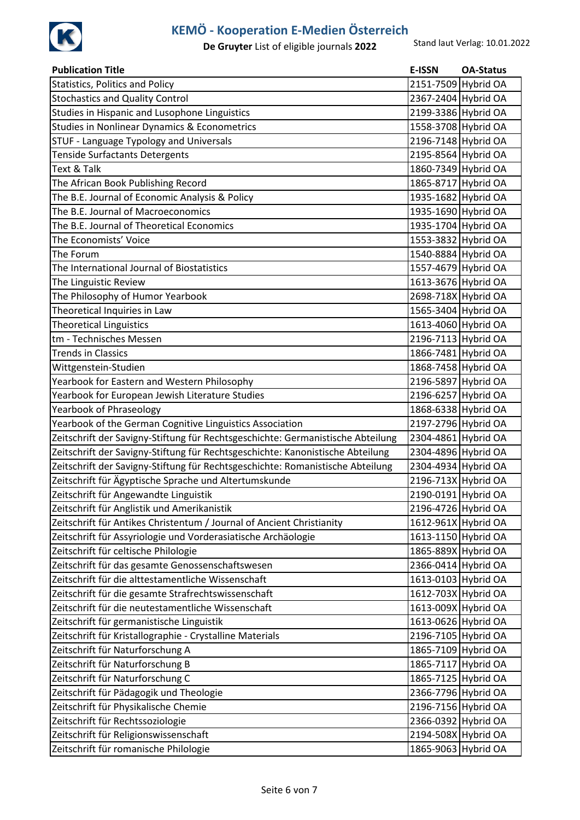

| <b>Publication Title</b>                                                        | E-ISSN              | <b>OA-Status</b> |
|---------------------------------------------------------------------------------|---------------------|------------------|
| <b>Statistics, Politics and Policy</b>                                          | 2151-7509 Hybrid OA |                  |
| <b>Stochastics and Quality Control</b>                                          | 2367-2404 Hybrid OA |                  |
| Studies in Hispanic and Lusophone Linguistics                                   | 2199-3386 Hybrid OA |                  |
| <b>Studies in Nonlinear Dynamics &amp; Econometrics</b>                         | 1558-3708 Hybrid OA |                  |
| STUF - Language Typology and Universals                                         | 2196-7148 Hybrid OA |                  |
| <b>Tenside Surfactants Detergents</b>                                           | 2195-8564 Hybrid OA |                  |
| Text & Talk                                                                     | 1860-7349 Hybrid OA |                  |
| The African Book Publishing Record                                              | 1865-8717 Hybrid OA |                  |
| The B.E. Journal of Economic Analysis & Policy                                  | 1935-1682 Hybrid OA |                  |
| The B.E. Journal of Macroeconomics                                              | 1935-1690 Hybrid OA |                  |
| The B.E. Journal of Theoretical Economics                                       | 1935-1704 Hybrid OA |                  |
| The Economists' Voice                                                           | 1553-3832 Hybrid OA |                  |
| The Forum                                                                       | 1540-8884 Hybrid OA |                  |
| The International Journal of Biostatistics                                      | 1557-4679 Hybrid OA |                  |
| The Linguistic Review                                                           | 1613-3676 Hybrid OA |                  |
| The Philosophy of Humor Yearbook                                                | 2698-718X Hybrid OA |                  |
| Theoretical Inquiries in Law                                                    | 1565-3404 Hybrid OA |                  |
| <b>Theoretical Linguistics</b>                                                  | 1613-4060 Hybrid OA |                  |
| tm - Technisches Messen                                                         | 2196-7113 Hybrid OA |                  |
| <b>Trends in Classics</b>                                                       | 1866-7481 Hybrid OA |                  |
| Wittgenstein-Studien                                                            | 1868-7458 Hybrid OA |                  |
| Yearbook for Eastern and Western Philosophy                                     | 2196-5897 Hybrid OA |                  |
| Yearbook for European Jewish Literature Studies                                 | 2196-6257 Hybrid OA |                  |
| Yearbook of Phraseology                                                         | 1868-6338 Hybrid OA |                  |
| Yearbook of the German Cognitive Linguistics Association                        | 2197-2796 Hybrid OA |                  |
| Zeitschrift der Savigny-Stiftung für Rechtsgeschichte: Germanistische Abteilung | 2304-4861 Hybrid OA |                  |
| Zeitschrift der Savigny-Stiftung für Rechtsgeschichte: Kanonistische Abteilung  | 2304-4896 Hybrid OA |                  |
| Zeitschrift der Savigny-Stiftung für Rechtsgeschichte: Romanistische Abteilung  | 2304-4934 Hybrid OA |                  |
| Zeitschrift für Ägyptische Sprache und Altertumskunde                           | 2196-713X Hybrid OA |                  |
| Zeitschrift für Angewandte Linguistik                                           | 2190-0191 Hybrid OA |                  |
| Zeitschrift für Anglistik und Amerikanistik                                     | 2196-4726 Hybrid OA |                  |
| Zeitschrift für Antikes Christentum / Journal of Ancient Christianity           | 1612-961X Hybrid OA |                  |
| Zeitschrift für Assyriologie und Vorderasiatische Archäologie                   | 1613-1150 Hybrid OA |                  |
| Zeitschrift für celtische Philologie                                            | 1865-889X Hybrid OA |                  |
| Zeitschrift für das gesamte Genossenschaftswesen                                | 2366-0414 Hybrid OA |                  |
| Zeitschrift für die alttestamentliche Wissenschaft                              | 1613-0103 Hybrid OA |                  |
| Zeitschrift für die gesamte Strafrechtswissenschaft                             | 1612-703X Hybrid OA |                  |
| Zeitschrift für die neutestamentliche Wissenschaft                              | 1613-009X Hybrid OA |                  |
| Zeitschrift für germanistische Linguistik                                       | 1613-0626 Hybrid OA |                  |
| Zeitschrift für Kristallographie - Crystalline Materials                        | 2196-7105 Hybrid OA |                  |
| Zeitschrift für Naturforschung A                                                | 1865-7109 Hybrid OA |                  |
| Zeitschrift für Naturforschung B                                                | 1865-7117 Hybrid OA |                  |
| Zeitschrift für Naturforschung C                                                | 1865-7125 Hybrid OA |                  |
| Zeitschrift für Pädagogik und Theologie                                         | 2366-7796 Hybrid OA |                  |
| Zeitschrift für Physikalische Chemie                                            | 2196-7156 Hybrid OA |                  |
| Zeitschrift für Rechtssoziologie                                                | 2366-0392 Hybrid OA |                  |
| Zeitschrift für Religionswissenschaft                                           | 2194-508X Hybrid OA |                  |
| Zeitschrift für romanische Philologie                                           | 1865-9063 Hybrid OA |                  |